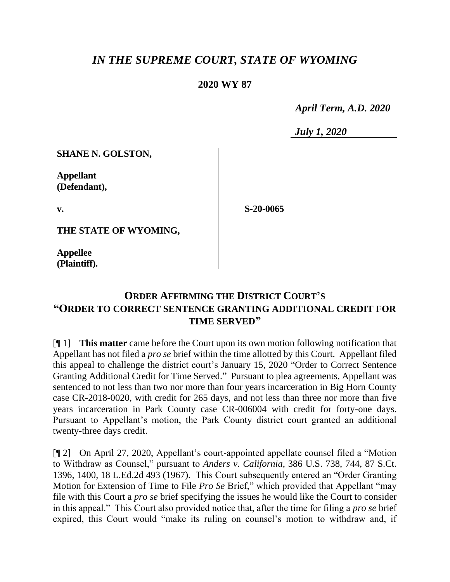## *IN THE SUPREME COURT, STATE OF WYOMING*

## **2020 WY 87**

 *April Term, A.D. 2020*

*July 1, 2020*

**SHANE N. GOLSTON,**

**Appellant (Defendant),**

**v.**

**S-20-0065**

**THE STATE OF WYOMING,**

**Appellee (Plaintiff).**

## **ORDER AFFIRMING THE DISTRICT COURT'S "ORDER TO CORRECT SENTENCE GRANTING ADDITIONAL CREDIT FOR TIME SERVED"**

[¶ 1] **This matter** came before the Court upon its own motion following notification that Appellant has not filed a *pro se* brief within the time allotted by this Court. Appellant filed this appeal to challenge the district court's January 15, 2020 "Order to Correct Sentence Granting Additional Credit for Time Served." Pursuant to plea agreements, Appellant was sentenced to not less than two nor more than four years incarceration in Big Horn County case CR-2018-0020, with credit for 265 days, and not less than three nor more than five years incarceration in Park County case CR-006004 with credit for forty-one days. Pursuant to Appellant's motion, the Park County district court granted an additional twenty-three days credit.

[¶ 2] On April 27, 2020, Appellant's court-appointed appellate counsel filed a "Motion to Withdraw as Counsel," pursuant to *Anders v. California*, 386 U.S. 738, 744, 87 S.Ct. 1396, 1400, 18 L.Ed.2d 493 (1967). This Court subsequently entered an "Order Granting Motion for Extension of Time to File *Pro Se* Brief," which provided that Appellant "may file with this Court a *pro se* brief specifying the issues he would like the Court to consider in this appeal." This Court also provided notice that, after the time for filing a *pro se* brief expired, this Court would "make its ruling on counsel's motion to withdraw and, if